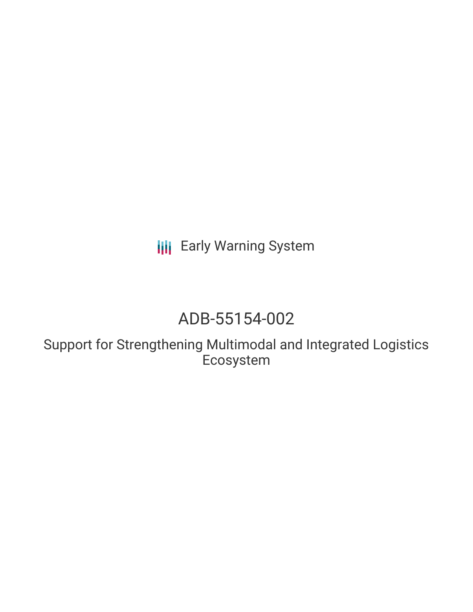**III** Early Warning System

# ADB-55154-002

Support for Strengthening Multimodal and Integrated Logistics Ecosystem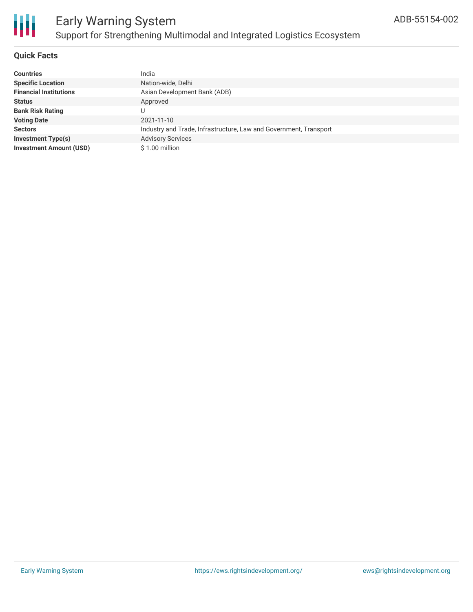

# Early Warning System Support for Strengthening Multimodal and Integrated Logistics Ecosystem

# **Quick Facts**

| <b>Countries</b>               | India                                                             |
|--------------------------------|-------------------------------------------------------------------|
| <b>Specific Location</b>       | Nation-wide, Delhi                                                |
| <b>Financial Institutions</b>  | Asian Development Bank (ADB)                                      |
| <b>Status</b>                  | Approved                                                          |
| <b>Bank Risk Rating</b>        |                                                                   |
| <b>Voting Date</b>             | 2021-11-10                                                        |
| <b>Sectors</b>                 | Industry and Trade, Infrastructure, Law and Government, Transport |
| <b>Investment Type(s)</b>      | <b>Advisory Services</b>                                          |
| <b>Investment Amount (USD)</b> | \$1.00 million                                                    |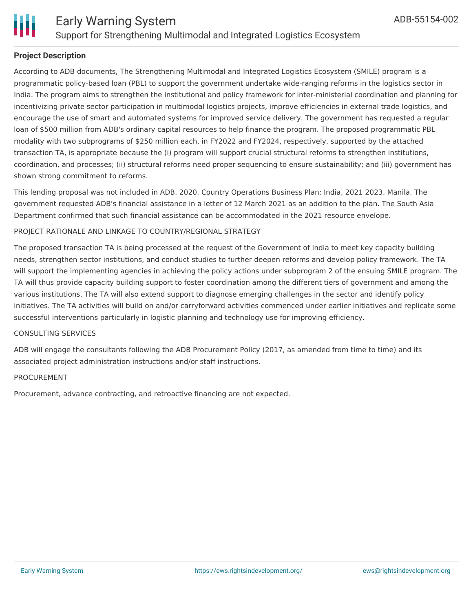

# **Project Description**

According to ADB documents, The Strengthening Multimodal and Integrated Logistics Ecosystem (SMILE) program is a programmatic policy-based loan (PBL) to support the government undertake wide-ranging reforms in the logistics sector in India. The program aims to strengthen the institutional and policy framework for inter-ministerial coordination and planning for incentivizing private sector participation in multimodal logistics projects, improve efficiencies in external trade logistics, and encourage the use of smart and automated systems for improved service delivery. The government has requested a regular loan of \$500 million from ADB's ordinary capital resources to help finance the program. The proposed programmatic PBL modality with two subprograms of \$250 million each, in FY2022 and FY2024, respectively, supported by the attached transaction TA, is appropriate because the (i) program will support crucial structural reforms to strengthen institutions, coordination, and processes; (ii) structural reforms need proper sequencing to ensure sustainability; and (iii) government has shown strong commitment to reforms.

This lending proposal was not included in ADB. 2020. Country Operations Business Plan: India, 2021 2023. Manila. The government requested ADB's financial assistance in a letter of 12 March 2021 as an addition to the plan. The South Asia Department confirmed that such financial assistance can be accommodated in the 2021 resource envelope.

### PROJECT RATIONALE AND LINKAGE TO COUNTRY/REGIONAL STRATEGY

The proposed transaction TA is being processed at the request of the Government of India to meet key capacity building needs, strengthen sector institutions, and conduct studies to further deepen reforms and develop policy framework. The TA will support the implementing agencies in achieving the policy actions under subprogram 2 of the ensuing SMILE program. The TA will thus provide capacity building support to foster coordination among the different tiers of government and among the various institutions. The TA will also extend support to diagnose emerging challenges in the sector and identify policy initiatives. The TA activities will build on and/or carryforward activities commenced under earlier initiatives and replicate some successful interventions particularly in logistic planning and technology use for improving efficiency.

# CONSULTING SERVICES

ADB will engage the consultants following the ADB Procurement Policy (2017, as amended from time to time) and its associated project administration instructions and/or staff instructions.

### PROCUREMENT

Procurement, advance contracting, and retroactive financing are not expected.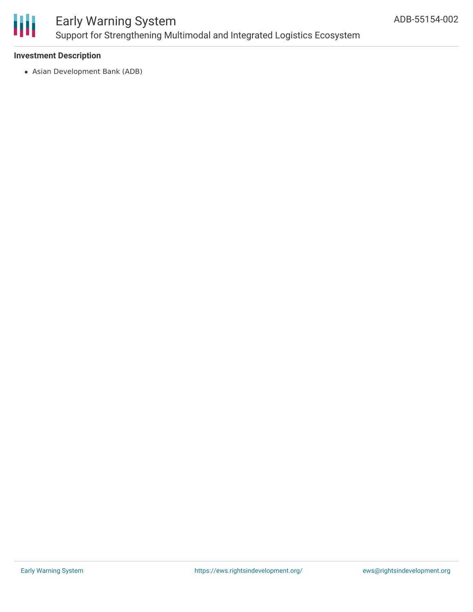

# Early Warning System Support for Strengthening Multimodal and Integrated Logistics Ecosystem

# **Investment Description**

Asian Development Bank (ADB)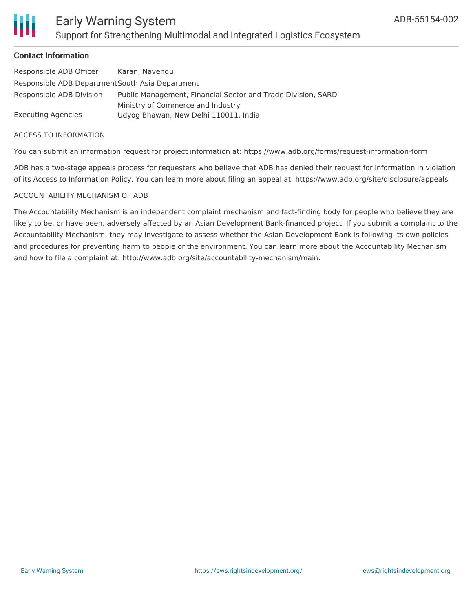

### **Contact Information**

| Responsible ADB Officer                          | Karan, Navendu                                               |  |
|--------------------------------------------------|--------------------------------------------------------------|--|
| Responsible ADB Department South Asia Department |                                                              |  |
| Responsible ADB Division                         | Public Management, Financial Sector and Trade Division, SARD |  |
|                                                  | Ministry of Commerce and Industry                            |  |
| Executing Agencies                               | Udyog Bhawan, New Delhi 110011, India                        |  |

#### ACCESS TO INFORMATION

You can submit an information request for project information at: https://www.adb.org/forms/request-information-form

ADB has a two-stage appeals process for requesters who believe that ADB has denied their request for information in violation of its Access to Information Policy. You can learn more about filing an appeal at: https://www.adb.org/site/disclosure/appeals

### ACCOUNTABILITY MECHANISM OF ADB

The Accountability Mechanism is an independent complaint mechanism and fact-finding body for people who believe they are likely to be, or have been, adversely affected by an Asian Development Bank-financed project. If you submit a complaint to the Accountability Mechanism, they may investigate to assess whether the Asian Development Bank is following its own policies and procedures for preventing harm to people or the environment. You can learn more about the Accountability Mechanism and how to file a complaint at: http://www.adb.org/site/accountability-mechanism/main.